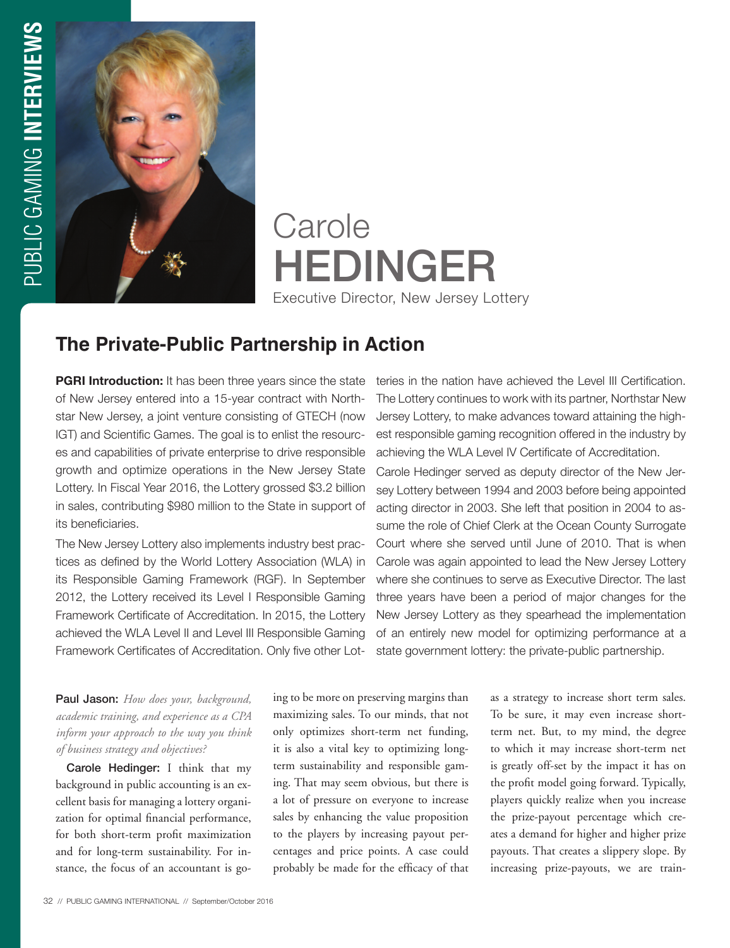

**Carole** HEDINGER Executive Director, New Jersey Lottery

## **The Private-Public Partnership in Action**

**PGRI Introduction:** It has been three years since the state of New Jersey entered into a 15-year contract with Northstar New Jersey, a joint venture consisting of GTECH (now IGT) and Scientific Games. The goal is to enlist the resources and capabilities of private enterprise to drive responsible growth and optimize operations in the New Jersey State Lottery. In Fiscal Year 2016, the Lottery grossed \$3.2 billion in sales, contributing \$980 million to the State in support of its beneficiaries.

The New Jersey Lottery also implements industry best practices as defined by the World Lottery Association (WLA) in its Responsible Gaming Framework (RGF). In September 2012, the Lottery received its Level I Responsible Gaming Framework Certificate of Accreditation. In 2015, the Lottery achieved the WLA Level II and Level III Responsible Gaming Framework Certificates of Accreditation. Only five other Lot-

Paul Jason: *How does your, background, academic training, and experience as a CPA inform your approach to the way you think of business strategy and objectives?* 

Carole Hedinger: I think that my background in public accounting is an excellent basis for managing a lottery organization for optimal financial performance, for both short-term profit maximization and for long-term sustainability. For instance, the focus of an accountant is going to be more on preserving margins than maximizing sales. To our minds, that not only optimizes short-term net funding, it is also a vital key to optimizing longterm sustainability and responsible gaming. That may seem obvious, but there is a lot of pressure on everyone to increase sales by enhancing the value proposition to the players by increasing payout percentages and price points. A case could probably be made for the efficacy of that

teries in the nation have achieved the Level III Certification. The Lottery continues to work with its partner, Northstar New Jersey Lottery, to make advances toward attaining the highest responsible gaming recognition offered in the industry by achieving the WLA Level IV Certificate of Accreditation.

Carole Hedinger served as deputy director of the New Jersey Lottery between 1994 and 2003 before being appointed acting director in 2003. She left that position in 2004 to assume the role of Chief Clerk at the Ocean County Surrogate Court where she served until June of 2010. That is when Carole was again appointed to lead the New Jersey Lottery where she continues to serve as Executive Director. The last three years have been a period of major changes for the New Jersey Lottery as they spearhead the implementation of an entirely new model for optimizing performance at a state government lottery: the private-public partnership.

> as a strategy to increase short term sales. To be sure, it may even increase shortterm net. But, to my mind, the degree to which it may increase short-term net is greatly off-set by the impact it has on the profit model going forward. Typically, players quickly realize when you increase the prize-payout percentage which creates a demand for higher and higher prize payouts. That creates a slippery slope. By increasing prize-payouts, we are train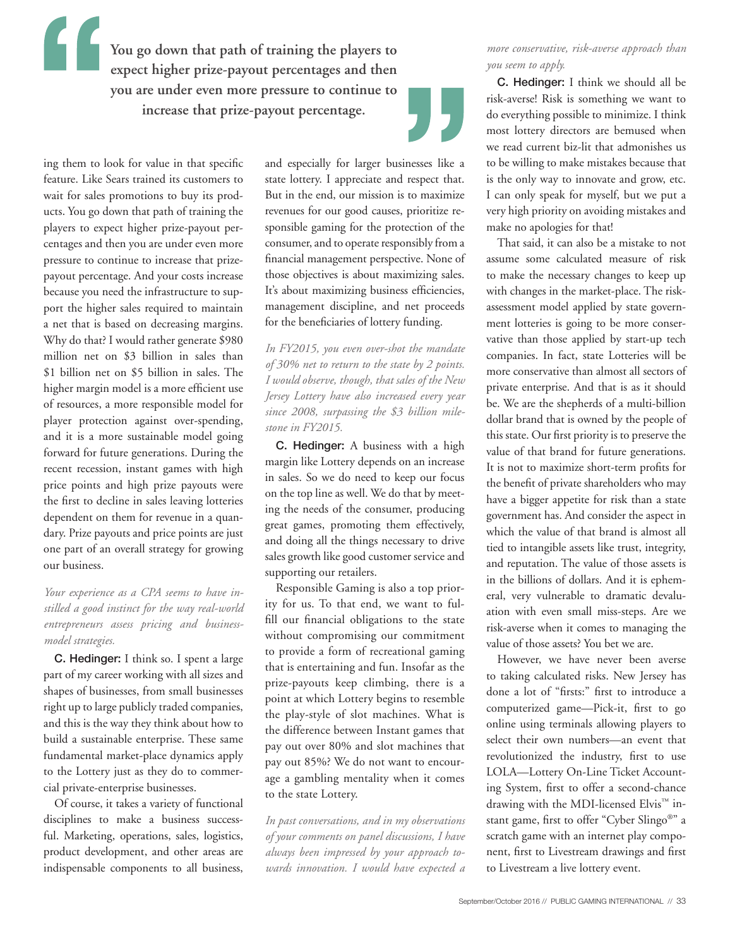**You go down that path of training the players to expect higher prize-payout percentages and then you are under even more pressure to continue to increase that prize-payout percentage.**

ing them to look for value in that specific feature. Like Sears trained its customers to wait for sales promotions to buy its products. You go down that path of training the players to expect higher prize-payout percentages and then you are under even more pressure to continue to increase that prizepayout percentage. And your costs increase because you need the infrastructure to support the higher sales required to maintain a net that is based on decreasing margins. Why do that? I would rather generate \$980 million net on \$3 billion in sales than \$1 billion net on \$5 billion in sales. The higher margin model is a more efficient use of resources, a more responsible model for player protection against over-spending, and it is a more sustainable model going forward for future generations. During the recent recession, instant games with high price points and high prize payouts were the first to decline in sales leaving lotteries dependent on them for revenue in a quandary. Prize payouts and price points are just one part of an overall strategy for growing our business.

## *Your experience as a CPA seems to have instilled a good instinct for the way real-world entrepreneurs assess pricing and businessmodel strategies.*

C. Hedinger: I think so. I spent a large part of my career working with all sizes and shapes of businesses, from small businesses right up to large publicly traded companies, and this is the way they think about how to build a sustainable enterprise. These same fundamental market-place dynamics apply to the Lottery just as they do to commercial private-enterprise businesses.

Of course, it takes a variety of functional disciplines to make a business successful. Marketing, operations, sales, logistics, product development, and other areas are indispensable components to all business, and especially for larger businesses like a state lottery. I appreciate and respect that. But in the end, our mission is to maximize revenues for our good causes, prioritize responsible gaming for the protection of the consumer, and to operate responsibly from a financial management perspective. None of those objectives is about maximizing sales. It's about maximizing business efficiencies, management discipline, and net proceeds for the beneficiaries of lottery funding.

*In FY2015, you even over-shot the mandate of 30% net to return to the state by 2 points. I would observe, though, that sales of the New Jersey Lottery have also increased every year since 2008, surpassing the \$3 billion milestone in FY2015.* 

C. Hedinger: A business with a high margin like Lottery depends on an increase in sales. So we do need to keep our focus on the top line as well. We do that by meeting the needs of the consumer, producing great games, promoting them effectively, and doing all the things necessary to drive sales growth like good customer service and supporting our retailers.

Responsible Gaming is also a top priority for us. To that end, we want to fulfill our financial obligations to the state without compromising our commitment to provide a form of recreational gaming that is entertaining and fun. Insofar as the prize-payouts keep climbing, there is a point at which Lottery begins to resemble the play-style of slot machines. What is the difference between Instant games that pay out over 80% and slot machines that pay out 85%? We do not want to encourage a gambling mentality when it comes to the state Lottery.

*In past conversations, and in my observations of your comments on panel discussions, I have always been impressed by your approach towards innovation. I would have expected a* 

## *more conservative, risk-averse approach than you seem to apply.*

C. Hedinger: I think we should all be risk-averse! Risk is something we want to do everything possible to minimize. I think most lottery directors are bemused when we read current biz-lit that admonishes us to be willing to make mistakes because that is the only way to innovate and grow, etc. I can only speak for myself, but we put a very high priority on avoiding mistakes and make no apologies for that!

That said, it can also be a mistake to not assume some calculated measure of risk to make the necessary changes to keep up with changes in the market-place. The riskassessment model applied by state government lotteries is going to be more conservative than those applied by start-up tech companies. In fact, state Lotteries will be more conservative than almost all sectors of private enterprise. And that is as it should be. We are the shepherds of a multi-billion dollar brand that is owned by the people of this state. Our first priority is to preserve the value of that brand for future generations. It is not to maximize short-term profits for the benefit of private shareholders who may have a bigger appetite for risk than a state government has. And consider the aspect in which the value of that brand is almost all tied to intangible assets like trust, integrity, and reputation. The value of those assets is in the billions of dollars. And it is ephemeral, very vulnerable to dramatic devaluation with even small miss-steps. Are we risk-averse when it comes to managing the value of those assets? You bet we are.

However, we have never been averse to taking calculated risks. New Jersey has done a lot of "firsts:" first to introduce a computerized game—Pick-it, first to go online using terminals allowing players to select their own numbers—an event that revolutionized the industry, first to use LOLA—Lottery On-Line Ticket Accounting System, first to offer a second-chance drawing with the MDI-licensed Elvis<sup>™</sup> instant game, first to offer "Cyber Slingo®" a scratch game with an internet play component, first to Livestream drawings and first to Livestream a live lottery event.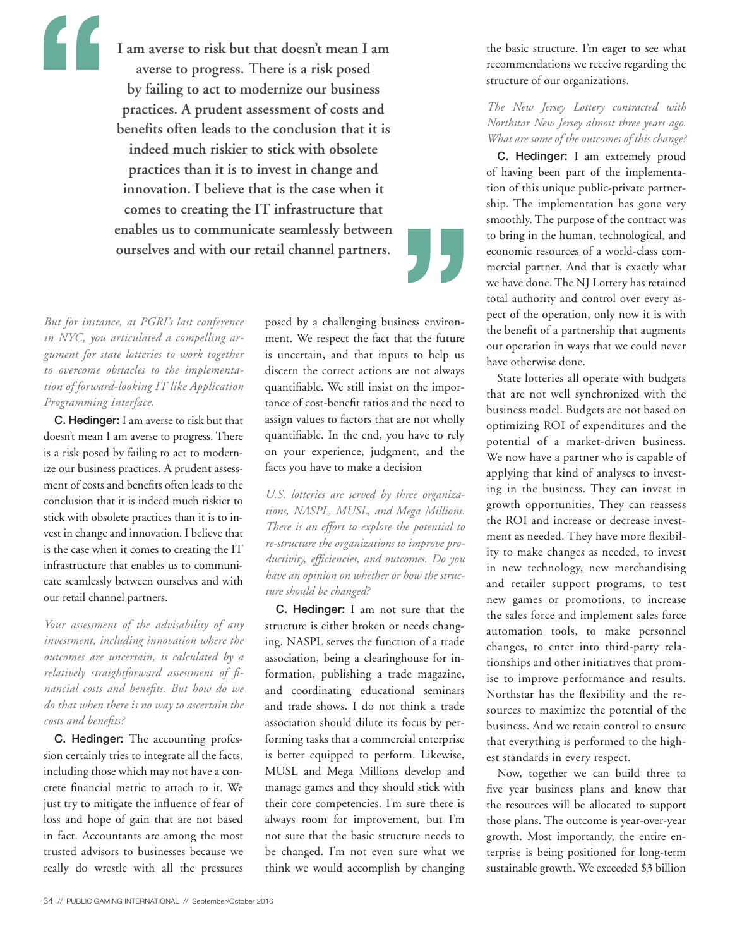**I am averse to risk but that doesn't mean I am averse to progress. There is a risk posed by failing to act to modernize our business practices. A prudent assessment of costs and benefits often leads to the conclusion that it is indeed much riskier to stick with obsolete practices than it is to invest in change and innovation. I believe that is the case when it comes to creating the IT infrastructure that enables us to communicate seamlessly between ourselves and with our retail channel partners.**

*But for instance, at PGRI's last conference in NYC, you articulated a compelling argument for state lotteries to work together to overcome obstacles to the implementation of forward-looking IT like Application Programming Interface.* 

C. Hedinger: I am averse to risk but that doesn't mean I am averse to progress. There is a risk posed by failing to act to modernize our business practices. A prudent assessment of costs and benefits often leads to the conclusion that it is indeed much riskier to stick with obsolete practices than it is to invest in change and innovation. I believe that is the case when it comes to creating the IT infrastructure that enables us to communicate seamlessly between ourselves and with our retail channel partners.

*Your assessment of the advisability of any investment, including innovation where the outcomes are uncertain, is calculated by a relatively straightforward assessment of financial costs and benefits. But how do we do that when there is no way to ascertain the costs and benefits?*

C. Hedinger: The accounting profession certainly tries to integrate all the facts, including those which may not have a concrete financial metric to attach to it. We just try to mitigate the influence of fear of loss and hope of gain that are not based in fact. Accountants are among the most trusted advisors to businesses because we really do wrestle with all the pressures

posed by a challenging business environment. We respect the fact that the future is uncertain, and that inputs to help us discern the correct actions are not always quantifiable. We still insist on the importance of cost-benefit ratios and the need to assign values to factors that are not wholly quantifiable. In the end, you have to rely on your experience, judgment, and the facts you have to make a decision

*U.S. lotteries are served by three organizations, NASPL, MUSL, and Mega Millions. There is an effort to explore the potential to re-structure the organizations to improve productivity, efficiencies, and outcomes. Do you have an opinion on whether or how the structure should be changed?* 

C. Hedinger: I am not sure that the structure is either broken or needs changing. NASPL serves the function of a trade association, being a clearinghouse for information, publishing a trade magazine, and coordinating educational seminars and trade shows. I do not think a trade association should dilute its focus by performing tasks that a commercial enterprise is better equipped to perform. Likewise, MUSL and Mega Millions develop and manage games and they should stick with their core competencies. I'm sure there is always room for improvement, but I'm not sure that the basic structure needs to be changed. I'm not even sure what we think we would accomplish by changing

the basic structure. I'm eager to see what recommendations we receive regarding the structure of our organizations.

## *The New Jersey Lottery contracted with Northstar New Jersey almost three years ago. What are some of the outcomes of this change?*

C. Hedinger: I am extremely proud of having been part of the implementation of this unique public-private partnership. The implementation has gone very smoothly. The purpose of the contract was to bring in the human, technological, and economic resources of a world-class commercial partner. And that is exactly what we have done. The NJ Lottery has retained total authority and control over every aspect of the operation, only now it is with the benefit of a partnership that augments our operation in ways that we could never have otherwise done.

State lotteries all operate with budgets that are not well synchronized with the business model. Budgets are not based on optimizing ROI of expenditures and the potential of a market-driven business. We now have a partner who is capable of applying that kind of analyses to investing in the business. They can invest in growth opportunities. They can reassess the ROI and increase or decrease investment as needed. They have more flexibility to make changes as needed, to invest in new technology, new merchandising and retailer support programs, to test new games or promotions, to increase the sales force and implement sales force automation tools, to make personnel changes, to enter into third-party relationships and other initiatives that promise to improve performance and results. Northstar has the flexibility and the resources to maximize the potential of the business. And we retain control to ensure that everything is performed to the highest standards in every respect.

Now, together we can build three to five year business plans and know that the resources will be allocated to support those plans. The outcome is year-over-year growth. Most importantly, the entire enterprise is being positioned for long-term sustainable growth. We exceeded \$3 billion